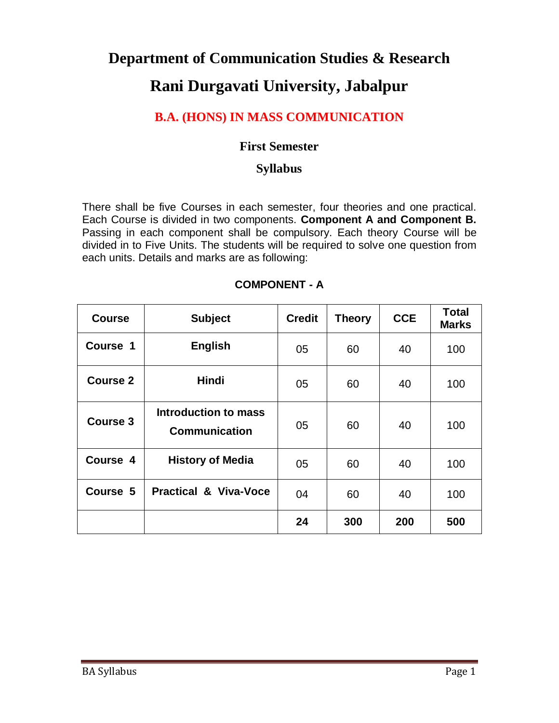# **Department of Communication Studies & Research Rani Durgavati University, Jabalpur**

# **B.A. (HONS) IN MASS COMMUNICATION**

### **First Semester**

### **Syllabus**

There shall be five Courses in each semester, four theories and one practical. Each Course is divided in two components. **Component A and Component B.** Passing in each component shall be compulsory. Each theory Course will be divided in to Five Units. The students will be required to solve one question from each units. Details and marks are as following:

| <b>Course</b>   | <b>Subject</b>                               | <b>Credit</b> | <b>Theory</b> | <b>CCE</b> | <b>Total</b><br><b>Marks</b> |
|-----------------|----------------------------------------------|---------------|---------------|------------|------------------------------|
| Course 1        | <b>English</b>                               | 05            | 60            | 40         | 100                          |
| Course 2        | <b>Hindi</b>                                 | 05            | 60            | 40         | 100                          |
| <b>Course 3</b> | Introduction to mass<br><b>Communication</b> | 05            | 60            | 40         | 100                          |
| Course 4        | <b>History of Media</b>                      | 05            | 60            | 40         | 100                          |
| Course 5        | <b>Practical &amp; Viva-Voce</b>             | 04            | 60            | 40         | 100                          |
|                 |                                              | 24            | 300           | 200        | 500                          |

#### **COMPONENT - A**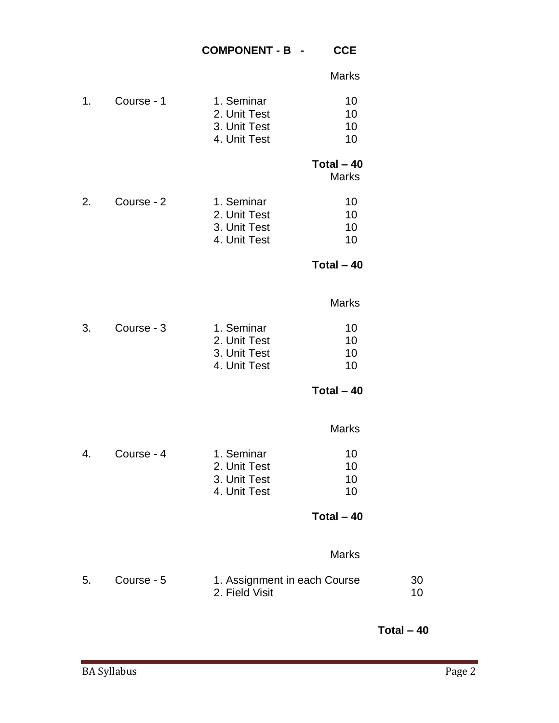#### **COMPONENT - B - CCE**

Marks

|    |            |                                                            | <b>NIGHTS</b>               |          |
|----|------------|------------------------------------------------------------|-----------------------------|----------|
| 1. | Course - 1 | 1. Seminar<br>2. Unit Test<br>3. Unit Test<br>4. Unit Test | 10<br>10<br>10<br>10        |          |
|    |            |                                                            | Total $-40$<br><b>Marks</b> |          |
| 2. | Course - 2 | 1. Seminar<br>2. Unit Test<br>3. Unit Test<br>4. Unit Test | 10<br>10<br>10<br>10        |          |
|    |            |                                                            | Total $-40$                 |          |
|    |            |                                                            | <b>Marks</b>                |          |
| 3. | Course - 3 | 1. Seminar<br>2. Unit Test<br>3. Unit Test<br>4. Unit Test | 10<br>10<br>10<br>10        |          |
|    |            |                                                            | Total $-40$                 |          |
|    |            |                                                            | <b>Marks</b>                |          |
| 4. | Course - 4 | 1. Seminar<br>2. Unit Test<br>3. Unit Test<br>4. Unit Test | 10<br>10<br>10<br>10        |          |
|    |            |                                                            | Total $-40$                 |          |
|    |            |                                                            | <b>Marks</b>                |          |
| 5. | Course - 5 | 1. Assignment in each Course<br>2. Field Visit             |                             | 30<br>10 |

**Total – 40**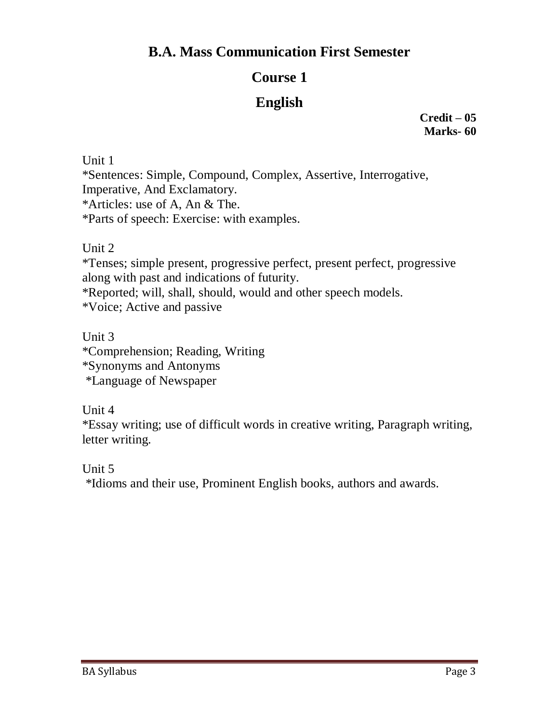# **Course 1**

# **English**

**Credit – 05 Marks- 60**

Unit 1 \*Sentences: Simple, Compound, Complex, Assertive, Interrogative, Imperative, And Exclamatory. \*Articles: use of A, An & The. \*Parts of speech: Exercise: with examples.

Unit 2

\*Tenses; simple present, progressive perfect, present perfect, progressive along with past and indications of futurity. \*Reported; will, shall, should, would and other speech models.

\*Voice; Active and passive

Unit 3 \*Comprehension; Reading, Writing \*Synonyms and Antonyms \*Language of Newspaper

Unit 4

\*Essay writing; use of difficult words in creative writing, Paragraph writing, letter writing.

Unit 5

\*Idioms and their use, Prominent English books, authors and awards.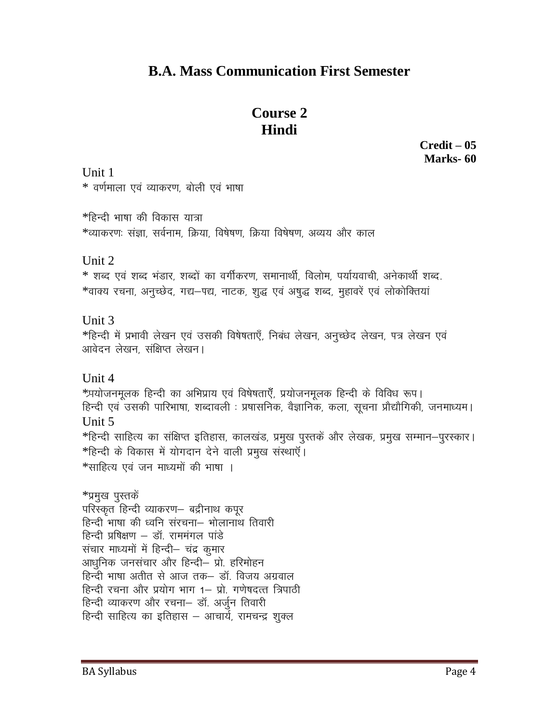# **Course 2 Hindi**

**Credit – 05 Marks- 60**

Unit 1  $*$  वर्णमाला एवं व्याकरण, बोली एवं भाषा

 $*$ हिन्दी भाषा की विकास यात्रा \*व्याकरणः संज्ञा, सर्वनाम, क्रिया, विषेषण, क्रिया विषेषण, अव्यय और काल

Unit 2

\* शब्द एवं शब्द भंडार, शब्दों का वर्गीकरण, समानार्थी, विलोम, पर्यायवाची, अनेकार्थी शब्द. \*वाक्य रचना, अनुच्छेद, गद्य—पद्य, नाटक, शुद्ध एवं अषुद्ध शब्द, मुहावरें एवं लोकोक्तियां

Unit 3

\*हिन्दी में प्रभावी लेखन एवं उसकी विषेषताएँ, निबंध लेखन, अनुच्छेद लेखन, पत्र लेखन एवं आवेदन लेखन. संक्षिप्त लेखन।

Unit 4

 $*$ प्रयोजनमूलक हिन्दी का अभिप्राय एवं विषेषताएँ, प्रयोजनमूलक हिन्दी के विविध रूप। हिन्दी एवं उसकी पारिभाषा, शब्दावली : प्रषासनिक, वैज्ञानिक, कला, सूचना प्रौद्यौगिकी, जनमाध्यम। Unit 5  $*$ हिन्दी साहित्य का संक्षिप्त इतिहास, कालखंड, प्रमुख पुस्तकें और लेखक, प्रमुख सम्मान–पुरस्कार।  $*$ हिन्दी के विकास में योगदान देने वाली प्रमुख संस्थाएँ | \*साहित्य एवं जन माध्यमों की भाषा ।

\*प्रमुख पुस्तकें परिस्कृत हिन्दी व्याकरण— बद्रीनाथ कपुर हिन्दी भाषा की ध्वनि संरचना– भोलानाथ तिवारी हिन्दी प्रषिक्षण - डॉ. राममंगल पांडे संचार माध्यमों में हिन्दी- चंद्र कुमार आधुनिक जनसंचार और हिन्दी– प्रो. हरिमोहन हिन्दी भाषा अतीत से आज तक– डॉ. विजय अग्रवाल हिन्दी रचना और प्रयोग भाग 1– प्रो. गणेषदत्त त्रिपाठी हिन्दी व्याकरण और रचना– डॉ. अर्जुन तिवारी हिन्दी साहित्य का इतिहास – आचार्य, रामचन्द्र शुक्ल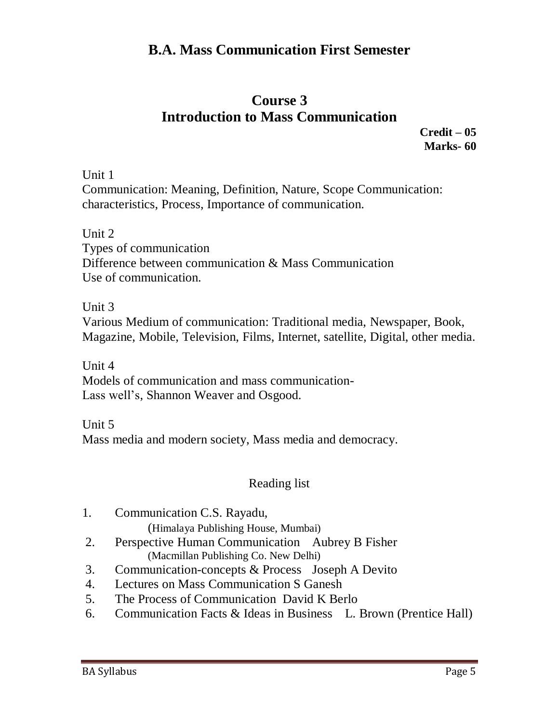### **Course 3 Introduction to Mass Communication**

**Credit – 05 Marks- 60**

Unit 1

Communication: Meaning, Definition, Nature, Scope Communication: characteristics, Process, Importance of communication.

Unit 2

Types of communication Difference between communication & Mass Communication Use of communication.

Unit 3

Various Medium of communication: Traditional media, Newspaper, Book, Magazine, Mobile, Television, Films, Internet, satellite, Digital, other media.

Unit 4 Models of communication and mass communication-Lass well's, Shannon Weaver and Osgood.

Unit 5 Mass media and modern society, Mass media and democracy.

### Reading list

- 1. Communication C.S. Rayadu, (Himalaya Publishing House, Mumbai)
- 2. Perspective Human Communication Aubrey B Fisher (Macmillan Publishing Co. New Delhi)
- 3. Communication-concepts & Process Joseph A Devito
- 4. Lectures on Mass Communication S Ganesh
- 5. The Process of Communication David K Berlo
- 6. Communication Facts & Ideas in Business L. Brown (Prentice Hall)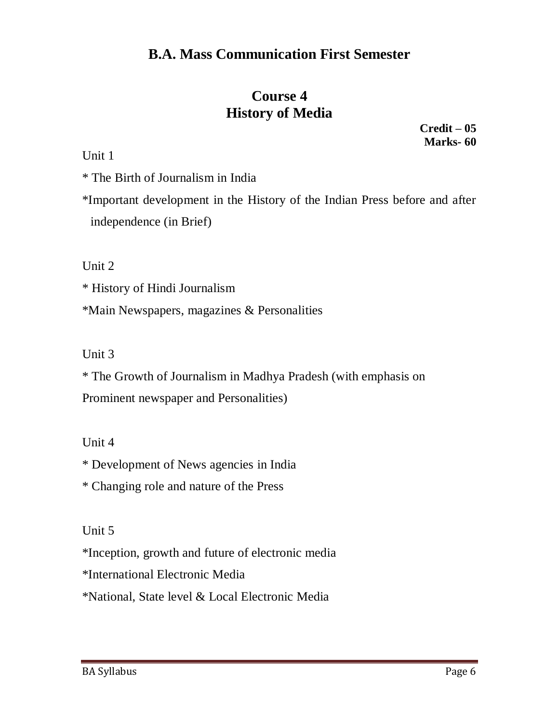# **Course 4 History of Media**

Unit 1

\* The Birth of Journalism in India

\*Important development in the History of the Indian Press before and after independence (in Brief)

Unit 2

\* History of Hindi Journalism

\*Main Newspapers, magazines & Personalities

Unit 3

\* The Growth of Journalism in Madhya Pradesh (with emphasis on Prominent newspaper and Personalities)

Unit 4

\* Development of News agencies in India

\* Changing role and nature of the Press

Unit 5

\*Inception, growth and future of electronic media

\*International Electronic Media

\*National, State level & Local Electronic Media

**Credit – 05 Marks- 60**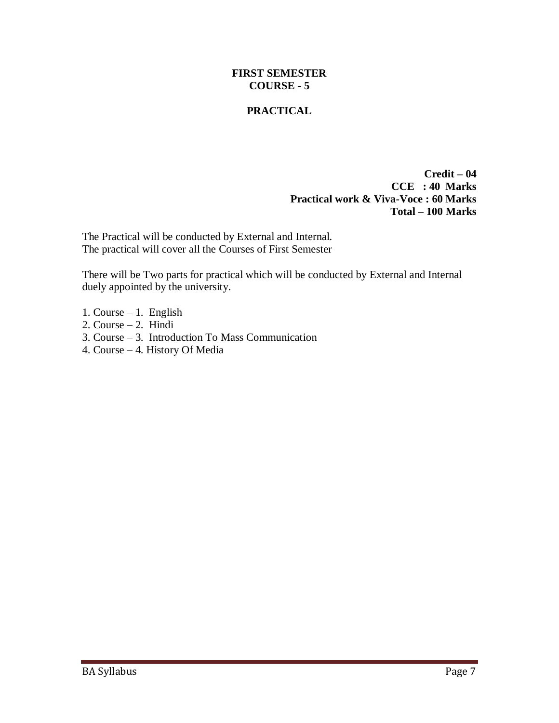#### **FIRST SEMESTER COURSE - 5**

#### **PRACTICAL**

**Credit – 04 CCE : 40 Marks Practical work & Viva-Voce : 60 Marks Total – 100 Marks**

The Practical will be conducted by External and Internal. The practical will cover all the Courses of First Semester

There will be Two parts for practical which will be conducted by External and Internal duely appointed by the university.

- 1. Course 1. English
- 2. Course 2. Hindi
- 3. Course 3. Introduction To Mass Communication
- 4. Course 4. History Of Media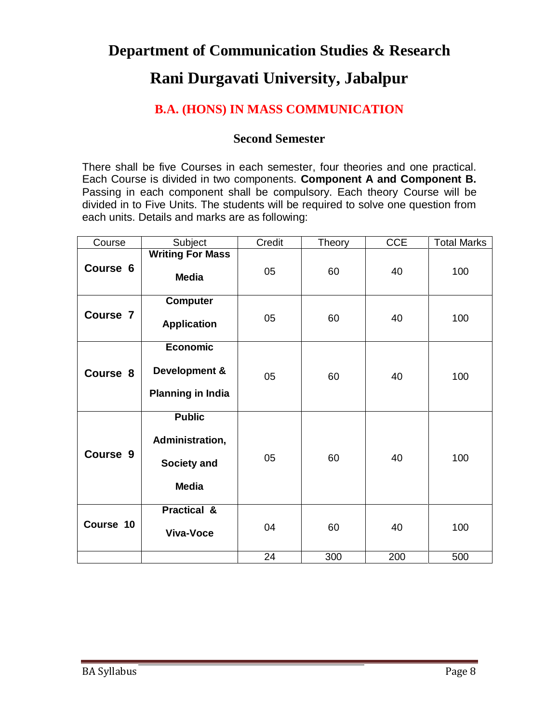# **Department of Communication Studies & Research Rani Durgavati University, Jabalpur**

# **B.A. (HONS) IN MASS COMMUNICATION**

#### **Second Semester**

There shall be five Courses in each semester, four theories and one practical. Each Course is divided in two components. **Component A and Component B.** Passing in each component shall be compulsory. Each theory Course will be divided in to Five Units. The students will be required to solve one question from each units. Details and marks are as following:

| Course    | Subject                                                         | Credit | <b>Theory</b> | <b>CCE</b> | <b>Total Marks</b> |
|-----------|-----------------------------------------------------------------|--------|---------------|------------|--------------------|
| Course 6  | <b>Writing For Mass</b><br><b>Media</b>                         | 05     | 60            | 40         | 100                |
| Course 7  | <b>Computer</b><br><b>Application</b>                           | 05     | 60            | 40         | 100                |
| Course 8  | <b>Economic</b><br>Development &<br><b>Planning in India</b>    | 05     | 60            | 40         | 100                |
| Course 9  | <b>Public</b><br>Administration,<br>Society and<br><b>Media</b> | 05     | 60            | 40         | 100                |
| Course 10 | <b>Practical &amp;</b><br><b>Viva-Voce</b>                      | 04     | 60            | 40         | 100                |
|           |                                                                 | 24     | 300           | 200        | 500                |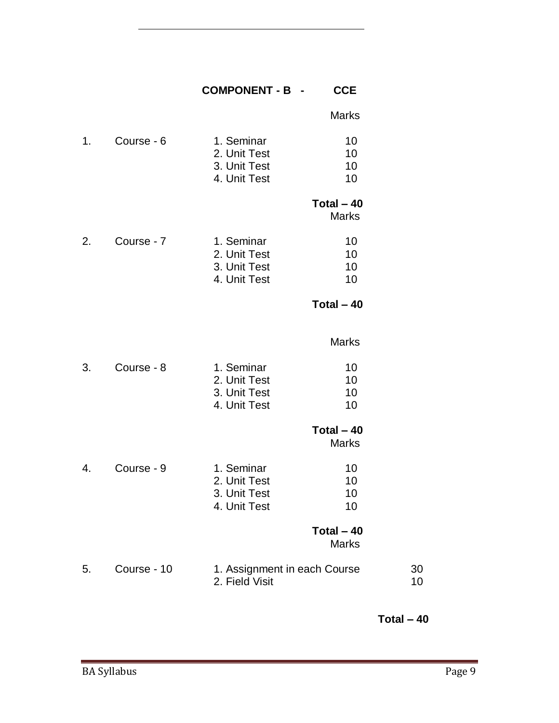#### **COMPONENT - B - CCE**

| Marks |
|-------|
|       |

| 1. | Course - 6 | 1. Seminar<br>2. Unit Test   | 10.<br>10. |
|----|------------|------------------------------|------------|
|    |            | 3. Unit Test<br>4. Unit Test | 10.<br>10. |
|    |            |                              |            |

#### **Total – 40**

Marks

| 2. | Course - 7 | 1. Seminar<br>2. Unit Test<br>3. Unit Test | 10<br>10<br>10 |
|----|------------|--------------------------------------------|----------------|
|    |            |                                            |                |
|    |            | 4. Unit Test                               | 10             |

**Total – 40**

|    |            |              | Marks |
|----|------------|--------------|-------|
| 3. | Course - 8 | 1. Seminar   | 10    |
|    |            | 2. Unit Test | 10    |
|    |            | 3. Unit Test | 10    |
|    |            | 4. Unit Test | 10    |

# **Total – 40**

|              | 10         |
|--------------|------------|
| 2. Unit Test | 10         |
| 3. Unit Test | 10         |
| 4. Unit Test | 10         |
| Course - 9   | 1. Seminar |

#### **Total – 40** Marks

| 5. | Course - 10 | 1. Assignment in each Course | -30 |
|----|-------------|------------------------------|-----|
|    |             | 2. Field Visit               |     |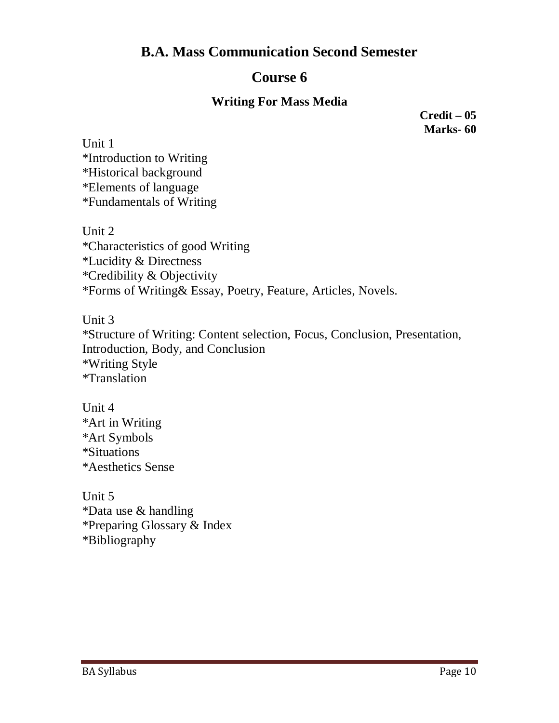### **Course 6**

### **Writing For Mass Media**

**Credit – 05 Marks- 60**

Unit 1 \*Introduction to Writing \*Historical background \*Elements of language \*Fundamentals of Writing

Unit 2 \*Characteristics of good Writing \*Lucidity & Directness \*Credibility & Objectivity \*Forms of Writing& Essay, Poetry, Feature, Articles, Novels.

Unit 3

\*Structure of Writing: Content selection, Focus, Conclusion, Presentation, Introduction, Body, and Conclusion \*Writing Style \*Translation

Unit 4 \*Art in Writing \*Art Symbols \*Situations \*Aesthetics Sense

Unit 5 \*Data use & handling \*Preparing Glossary & Index \*Bibliography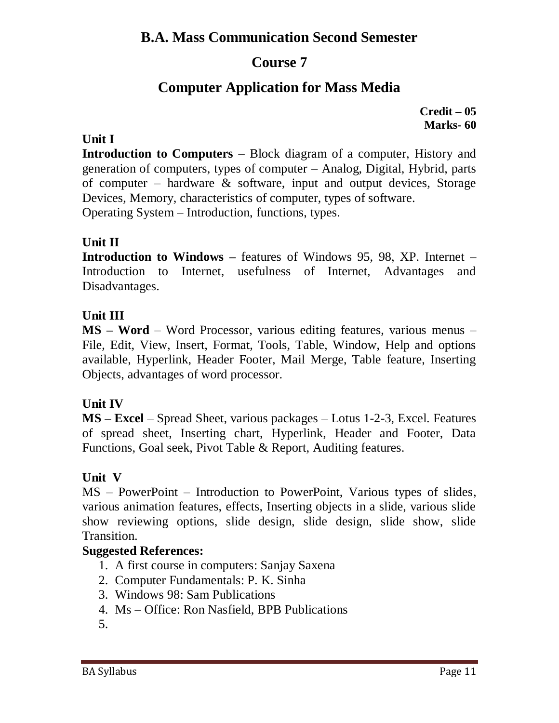### **Course 7**

# **Computer Application for Mass Media**

**Credit – 05 Marks- 60**

#### **Unit I**

**Introduction to Computers** – Block diagram of a computer, History and generation of computers, types of computer – Analog, Digital, Hybrid, parts of computer – hardware & software, input and output devices, Storage Devices, Memory, characteristics of computer, types of software. Operating System – Introduction, functions, types.

#### **Unit II**

**Introduction to Windows –** features of Windows 95, 98, XP. Internet – Introduction to Internet, usefulness of Internet, Advantages and Disadvantages.

#### **Unit III**

**MS – Word** – Word Processor, various editing features, various menus – File, Edit, View, Insert, Format, Tools, Table, Window, Help and options available, Hyperlink, Header Footer, Mail Merge, Table feature, Inserting Objects, advantages of word processor.

#### **Unit IV**

**MS – Excel** – Spread Sheet, various packages – Lotus 1-2-3, Excel. Features of spread sheet, Inserting chart, Hyperlink, Header and Footer, Data Functions, Goal seek, Pivot Table & Report, Auditing features.

#### **Unit V**

MS – PowerPoint – Introduction to PowerPoint, Various types of slides, various animation features, effects, Inserting objects in a slide, various slide show reviewing options, slide design, slide design, slide show, slide Transition.

#### **Suggested References:**

- 1. A first course in computers: Sanjay Saxena
- 2. Computer Fundamentals: P. K. Sinha
- 3. Windows 98: Sam Publications
- 4. Ms Office: Ron Nasfield, BPB Publications
- 5.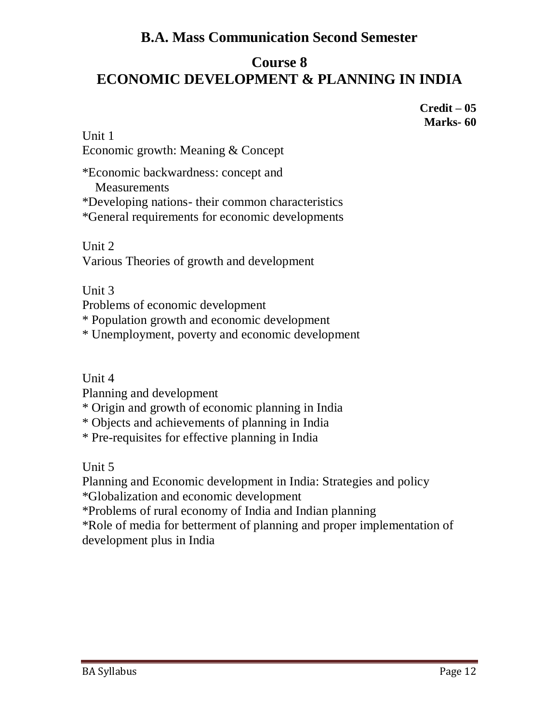# **Course 8 ECONOMIC DEVELOPMENT & PLANNING IN INDIA**

**Credit – 05 Marks- 60**

Unit 1 Economic growth: Meaning & Concept

\*Economic backwardness: concept and **Measurements** \*Developing nations- their common characteristics \*General requirements for economic developments

Unit 2 Various Theories of growth and development

Unit 3

Problems of economic development

\* Population growth and economic development

\* Unemployment, poverty and economic development

Unit 4

Planning and development

\* Origin and growth of economic planning in India

\* Objects and achievements of planning in India

\* Pre-requisites for effective planning in India

Unit 5

Planning and Economic development in India: Strategies and policy

\*Globalization and economic development

\*Problems of rural economy of India and Indian planning

\*Role of media for betterment of planning and proper implementation of development plus in India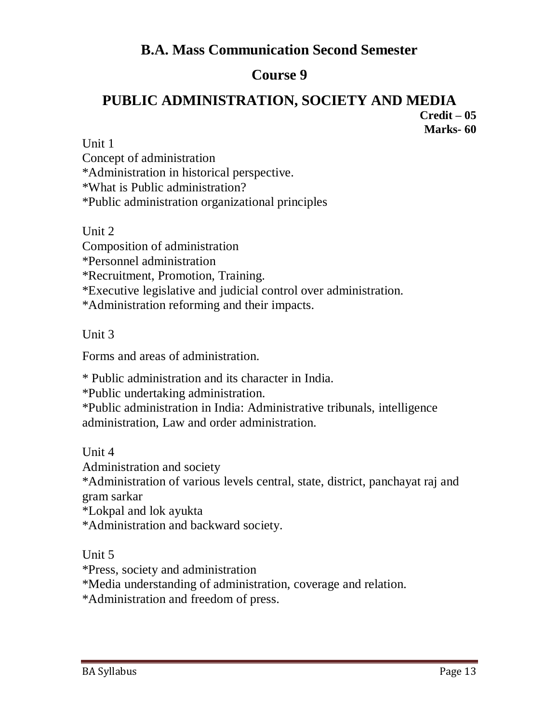# **Course 9**

#### **PUBLIC ADMINISTRATION, SOCIETY AND MEDIA Credit – 05 Marks- 60**

Unit 1

Concept of administration \*Administration in historical perspective. \*What is Public administration? \*Public administration organizational principles

Unit 2

Composition of administration \*Personnel administration \*Recruitment, Promotion, Training. \*Executive legislative and judicial control over administration. \*Administration reforming and their impacts.

Unit 3

Forms and areas of administration.

\* Public administration and its character in India.

\*Public undertaking administration.

\*Public administration in India: Administrative tribunals, intelligence administration, Law and order administration.

Unit 4

Administration and society

\*Administration of various levels central, state, district, panchayat raj and gram sarkar

\*Lokpal and lok ayukta

\*Administration and backward society.

Unit 5

\*Press, society and administration

\*Media understanding of administration, coverage and relation.

\*Administration and freedom of press.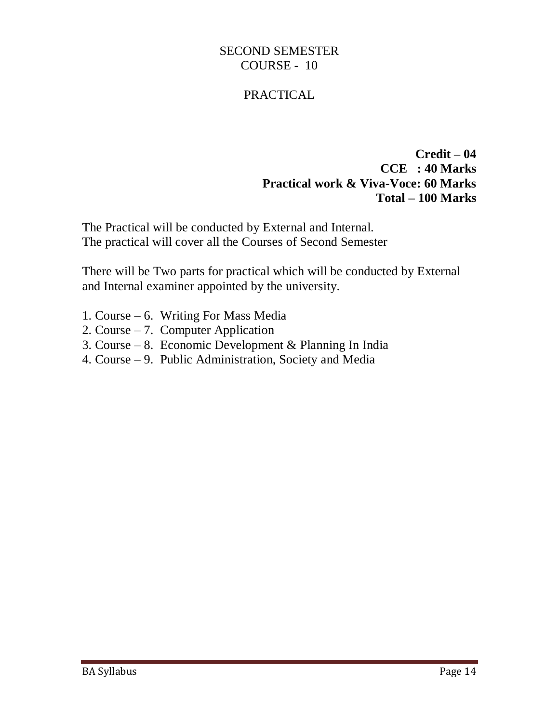#### SECOND SEMESTER COURSE - 10

### PRACTICAL

#### **Credit – 04 CCE : 40 Marks Practical work & Viva-Voce: 60 Marks Total – 100 Marks**

The Practical will be conducted by External and Internal. The practical will cover all the Courses of Second Semester

There will be Two parts for practical which will be conducted by External and Internal examiner appointed by the university.

- 1. Course 6. Writing For Mass Media
- 2. Course 7. Computer Application
- 3. Course 8. Economic Development & Planning In India
- 4. Course 9. Public Administration, Society and Media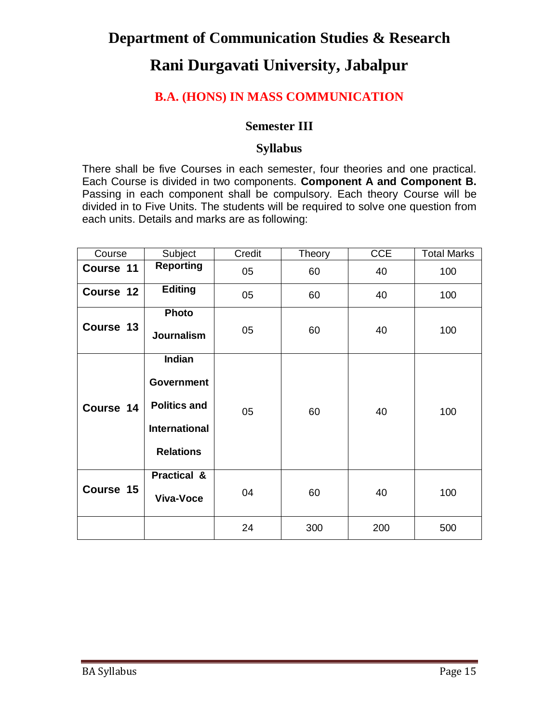# **Department of Communication Studies & Research**

# **Rani Durgavati University, Jabalpur**

### **B.A. (HONS) IN MASS COMMUNICATION**

#### **Semester III**

#### **Syllabus**

There shall be five Courses in each semester, four theories and one practical. Each Course is divided in two components. **Component A and Component B.** Passing in each component shall be compulsory. Each theory Course will be divided in to Five Units. The students will be required to solve one question from each units. Details and marks are as following:

| Course    | Subject                                                                                        | Credit | Theory | <b>CCE</b> | <b>Total Marks</b> |
|-----------|------------------------------------------------------------------------------------------------|--------|--------|------------|--------------------|
| Course 11 | <b>Reporting</b>                                                                               | 05     | 60     | 40         | 100                |
| Course 12 | <b>Editing</b>                                                                                 | 05     | 60     | 40         | 100                |
| Course 13 | <b>Photo</b><br><b>Journalism</b>                                                              | 05     | 60     | 40         | 100                |
| Course 14 | Indian<br><b>Government</b><br><b>Politics and</b><br><b>International</b><br><b>Relations</b> | 05     | 60     | 40         | 100                |
| Course 15 | <b>Practical &amp;</b><br>Viva-Voce                                                            | 04     | 60     | 40         | 100                |
|           |                                                                                                | 24     | 300    | 200        | 500                |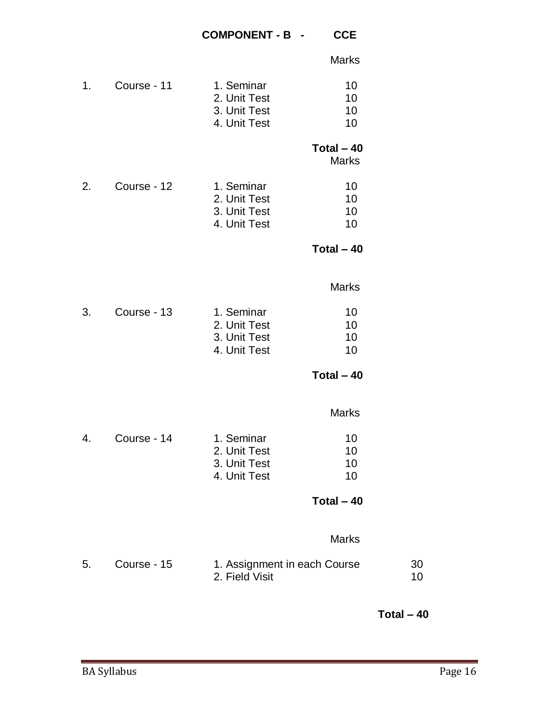|    |             |                                                            | <b>Marks</b>                |          |
|----|-------------|------------------------------------------------------------|-----------------------------|----------|
| 1. | Course - 11 | 1. Seminar<br>2. Unit Test<br>3. Unit Test<br>4. Unit Test | 10<br>10<br>10<br>10        |          |
|    |             |                                                            | Total $-40$<br><b>Marks</b> |          |
| 2. | Course - 12 | 1. Seminar<br>2. Unit Test<br>3. Unit Test<br>4. Unit Test | 10<br>10<br>10<br>10        |          |
|    |             |                                                            | Total $-40$                 |          |
|    |             |                                                            | <b>Marks</b>                |          |
| 3. | Course - 13 | 1. Seminar<br>2. Unit Test<br>3. Unit Test<br>4. Unit Test | 10<br>10<br>10<br>10        |          |
|    |             |                                                            | Total $-40$                 |          |
|    |             |                                                            | <b>Marks</b>                |          |
| 4. | Course - 14 | 1. Seminar<br>2. Unit Test<br>3. Unit Test<br>4. Unit Test | 10<br>10<br>10<br>10        |          |
|    |             |                                                            | $Total - 40$                |          |
|    |             |                                                            | <b>Marks</b>                |          |
| 5. | Course - 15 | 1. Assignment in each Course<br>2. Field Visit             |                             | 30<br>10 |
|    |             |                                                            |                             |          |

**Total – 40**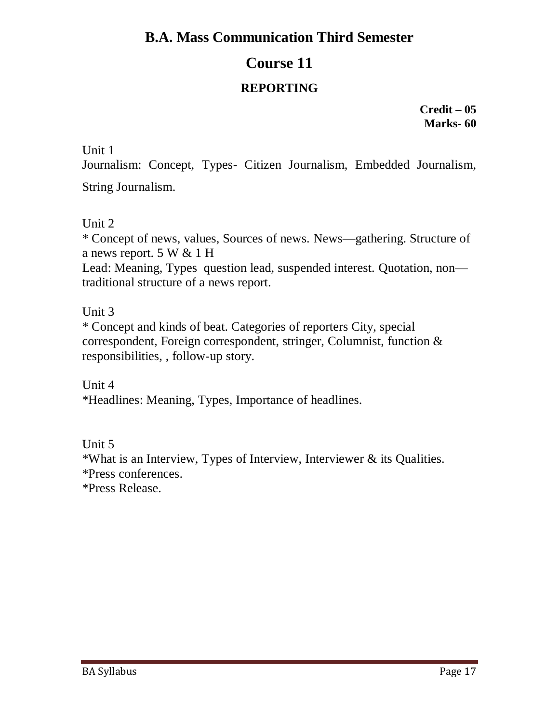# **Course 11**

### **REPORTING**

**Credit – 05 Marks- 60**

Unit 1

Journalism: Concept, Types- Citizen Journalism, Embedded Journalism, String Journalism.

Unit 2

\* Concept of news, values, Sources of news. News—gathering. Structure of a news report. 5 W & 1 H

Lead: Meaning, Types question lead, suspended interest. Quotation, non traditional structure of a news report.

### Unit 3

\* Concept and kinds of beat. Categories of reporters City, special correspondent, Foreign correspondent, stringer, Columnist, function & responsibilities, , follow-up story.

Unit 4 \*Headlines: Meaning, Types, Importance of headlines.

Unit 5

\*What is an Interview, Types of Interview, Interviewer & its Qualities. \*Press conferences.

\*Press Release.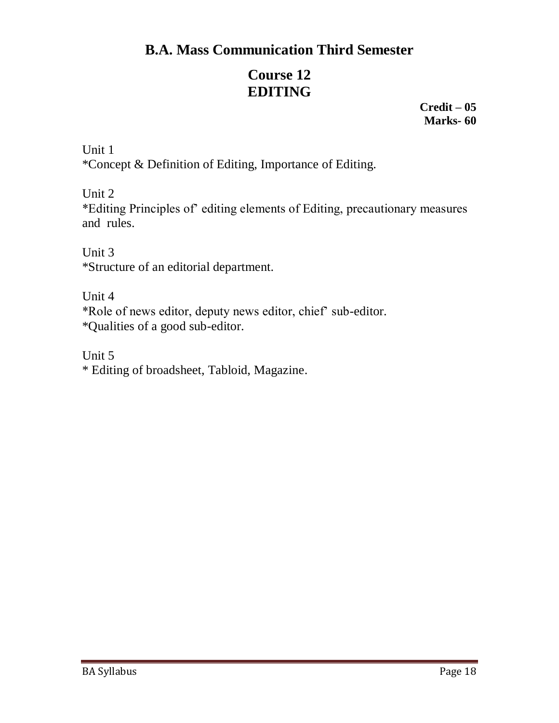# **Course 12 EDITING**

**Credit – 05 Marks- 60**

Unit 1 \*Concept & Definition of Editing, Importance of Editing.

Unit 2

\*Editing Principles of' editing elements of Editing, precautionary measures and rules.

Unit 3 \*Structure of an editorial department.

Unit 4 \*Role of news editor, deputy news editor, chief' sub-editor. \*Qualities of a good sub-editor.

Unit 5 \* Editing of broadsheet, Tabloid, Magazine.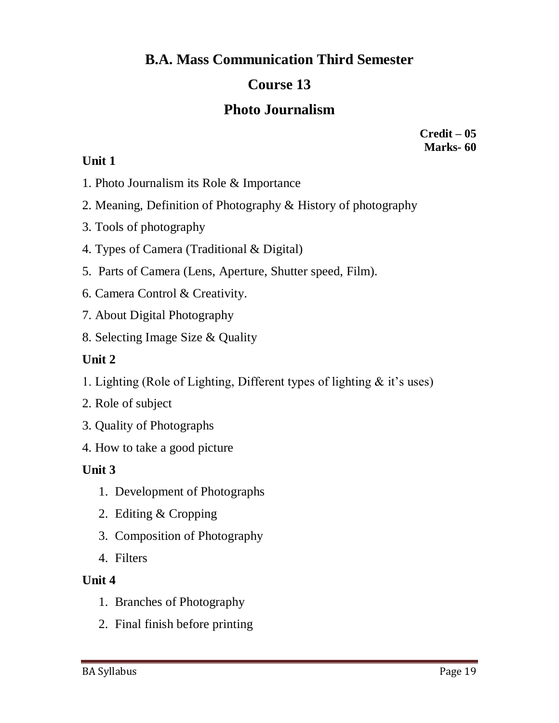# **Course 13**

# **Photo Journalism**

**Credit – 05 Marks- 60**

#### **Unit 1**

- 1. Photo Journalism its Role & Importance
- 2. Meaning, Definition of Photography & History of photography
- 3. Tools of photography
- 4. Types of Camera (Traditional & Digital)
- 5. Parts of Camera (Lens, Aperture, Shutter speed, Film).
- 6. Camera Control & Creativity.
- 7. About Digital Photography
- 8. Selecting Image Size & Quality

### **Unit 2**

- 1. Lighting (Role of Lighting, Different types of lighting & it's uses)
- 2. Role of subject
- 3. Quality of Photographs
- 4. How to take a good picture

#### **Unit 3**

- 1. Development of Photographs
- 2. Editing & Cropping
- 3. Composition of Photography
- 4. Filters

#### **Unit 4**

- 1. Branches of Photography
- 2. Final finish before printing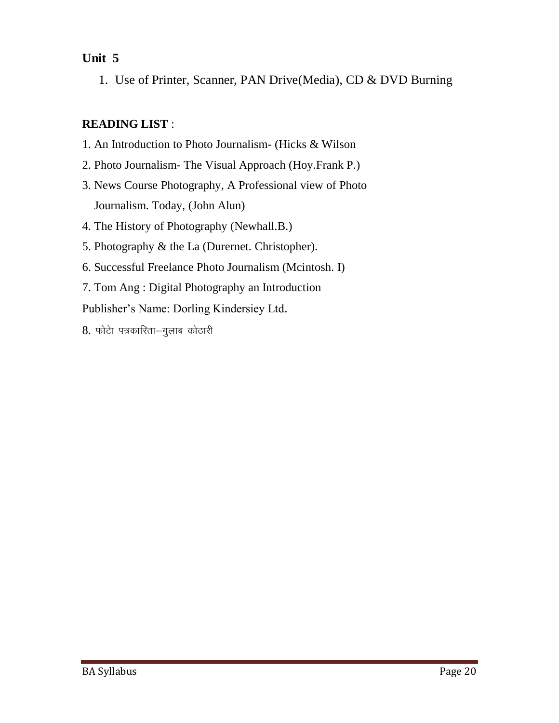### **Unit 5**

1. Use of Printer, Scanner, PAN Drive(Media), CD & DVD Burning

### **READING LIST** :

- 1. An Introduction to Photo Journalism- (Hicks & Wilson
- 2. Photo Journalism- The Visual Approach (Hoy.Frank P.)
- 3. News Course Photography, A Professional view of Photo Journalism. Today, (John Alun)
- 4. The History of Photography (Newhall.B.)
- 5. Photography & the La (Durernet. Christopher).
- 6. Successful Freelance Photo Journalism (Mcintosh. I)
- 7. Tom Ang : Digital Photography an Introduction

Publisher's Name: Dorling Kindersiey Ltd.

 $8.$  फोटेा पत्रकारिता-गुलाब कोठारी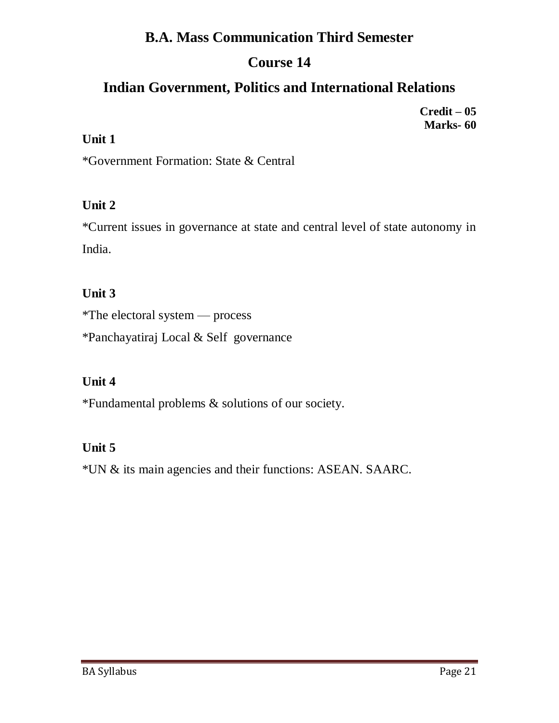# **Course 14**

# **Indian Government, Politics and International Relations**

**Credit – 05 Marks- 60**

### **Unit 1**

\*Government Formation: State & Central

### **Unit 2**

\*Current issues in governance at state and central level of state autonomy in India.

### **Unit 3**

\*The electoral system — process

\*Panchayatiraj Local & Self governance

### **Unit 4**

\*Fundamental problems & solutions of our society.

### **Unit 5**

\*UN & its main agencies and their functions: ASEAN. SAARC.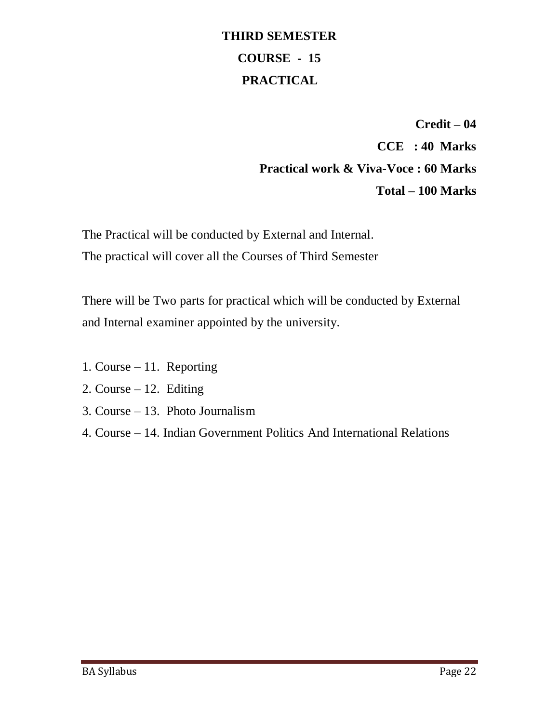# **THIRD SEMESTER COURSE - 15 PRACTICAL**

**Credit – 04 CCE : 40 Marks Practical work & Viva-Voce : 60 Marks Total – 100 Marks**

The Practical will be conducted by External and Internal. The practical will cover all the Courses of Third Semester

There will be Two parts for practical which will be conducted by External and Internal examiner appointed by the university.

- 1. Course 11. Reporting
- 2. Course  $-12$ . Editing
- 3. Course 13. Photo Journalism
- 4. Course 14. Indian Government Politics And International Relations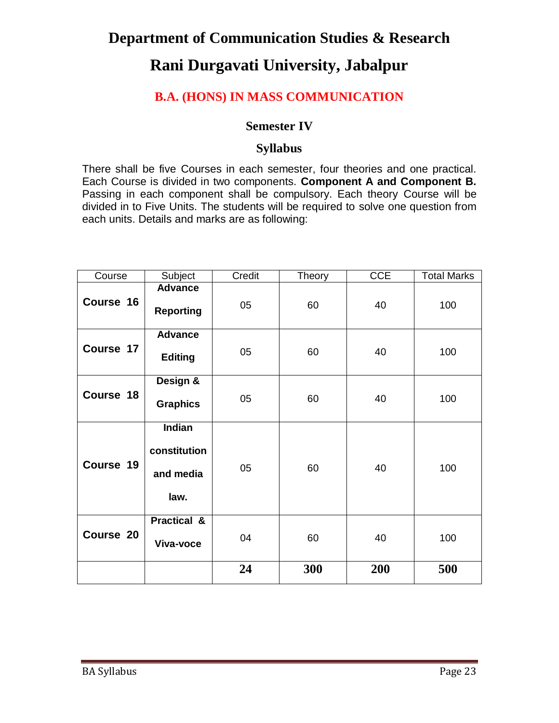# **Department of Communication Studies & Research Rani Durgavati University, Jabalpur**

### **B.A. (HONS) IN MASS COMMUNICATION**

#### **Semester IV**

#### **Syllabus**

There shall be five Courses in each semester, four theories and one practical. Each Course is divided in two components. **Component A and Component B.** Passing in each component shall be compulsory. Each theory Course will be divided in to Five Units. The students will be required to solve one question from each units. Details and marks are as following:

| Course    | Subject                                            | Credit | Theory | CCE | <b>Total Marks</b> |
|-----------|----------------------------------------------------|--------|--------|-----|--------------------|
| Course 16 | <b>Advance</b><br><b>Reporting</b>                 | 05     | 60     | 40  | 100                |
| Course 17 | <b>Advance</b><br><b>Editing</b>                   | 05     | 60     | 40  | 100                |
| Course 18 | Design &<br><b>Graphics</b>                        | 05     | 60     | 40  | 100                |
| Course 19 | <b>Indian</b><br>constitution<br>and media<br>law. | 05     | 60     | 40  | 100                |
| Course 20 | <b>Practical &amp;</b><br>Viva-voce                | 04     | 60     | 40  | 100                |
|           |                                                    | 24     | 300    | 200 | 500                |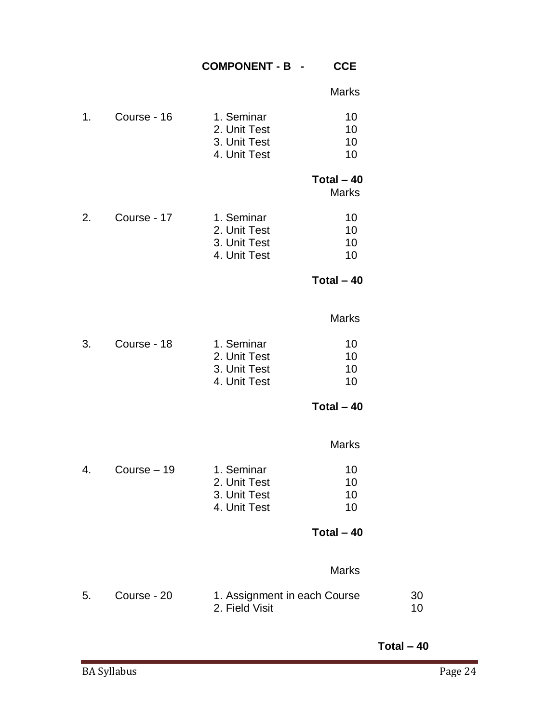#### **COMPONENT - B - CCE**

Marks

| 1. | Course - 16 | 1. Seminar   | 10 |
|----|-------------|--------------|----|
|    |             | 2. Unit Test | 10 |
|    |             | 3. Unit Test | 10 |
|    |             | 4. Unit Test | 10 |
|    |             |              |    |

#### **Total – 40**

Marks

2. Course - 17 1. Seminar 10 2. Unit Test 10 3. Unit Test 10<br>4. Unit Test 10 4. Unit Test

**Total – 40**

#### Marks

| Course - 18 | 1. Seminar   | 10 |
|-------------|--------------|----|
|             | 2. Unit Test | 10 |
|             | 3. Unit Test | 10 |
|             | 4. Unit Test | 10 |
|             |              |    |

**Total – 40**

#### Marks

| 4 | Course $-19$ | 1. Seminar   | 10. |
|---|--------------|--------------|-----|
|   |              | 2. Unit Test | 10  |
|   |              | 3. Unit Test | 10  |
|   |              | 4. Unit Test | 10  |

#### **Total – 40**

#### Marks

| Course - 20 | 1. Assignment in each Course | -30 |
|-------------|------------------------------|-----|
|             | 2. Field Visit               |     |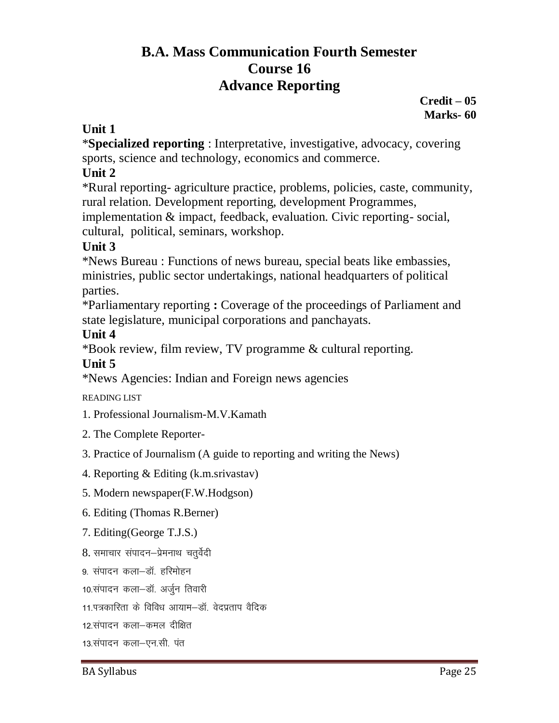# **B.A. Mass Communication Fourth Semester Course 16 Advance Reporting**

**Credit – 05 Marks- 60**

### **Unit 1**

\***Specialized reporting** : Interpretative, investigative, advocacy, covering sports, science and technology, economics and commerce.

### **Unit 2**

\*Rural reporting- agriculture practice, problems, policies, caste, community, rural relation. Development reporting, development Programmes,

implementation & impact, feedback, evaluation. Civic reporting- social, cultural, political, seminars, workshop.

### **Unit 3**

\*News Bureau : Functions of news bureau, special beats like embassies, ministries, public sector undertakings, national headquarters of political parties.

\*Parliamentary reporting **:** Coverage of the proceedings of Parliament and state legislature, municipal corporations and panchayats.

#### **Unit 4**

\*Book review, film review, TV programme & cultural reporting.

### **Unit 5**

\*News Agencies: Indian and Foreign news agencies

READING LIST

- 1. Professional Journalism-M.V.Kamath
- 2. The Complete Reporter-
- 3. Practice of Journalism (A guide to reporting and writing the News)
- 4. Reporting & Editing (k.m.srivastav)
- 5. Modern newspaper(F.W.Hodgson)
- 6. Editing (Thomas R.Berner)
- 7. Editing(George T.J.S.)
- 8. समाचार संपादन-प्रेमनाथ चतुर्वेदी
- 9. संपादन कला–डॉ. हरिमोहन
- 10.संपादन कला-डॉ. अर्जुन तिवारी
- 11.पत्रकारिता के विविध आयाम–डॉ. वेदप्रताप वैदिक
- 12 संपादन कला—कमल दीक्षित
- 13.संपादन कला–एन.सी. पंत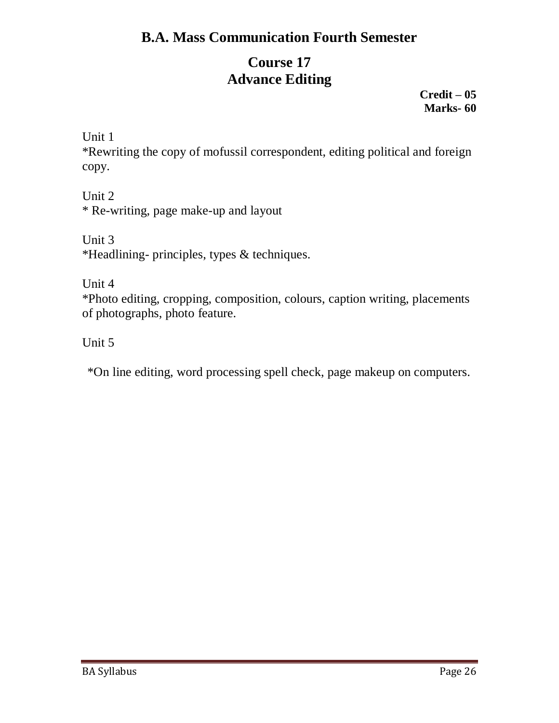# **Course 17 Advance Editing**

**Credit – 05 Marks- 60**

Unit 1

\*Rewriting the copy of mofussil correspondent, editing political and foreign copy.

Unit 2 \* Re-writing, page make-up and layout

Unit 3 \*Headlining- principles, types & techniques.

Unit 4

\*Photo editing, cropping, composition, colours, caption writing, placements of photographs, photo feature.

Unit 5

\*On line editing, word processing spell check, page makeup on computers.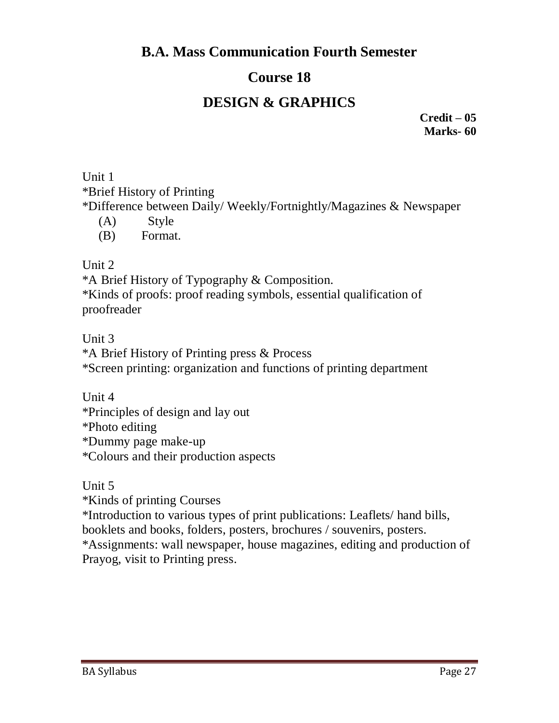# **Course 18**

# **DESIGN & GRAPHICS**

**Credit – 05 Marks- 60**

Unit 1 \*Brief History of Printing \*Difference between Daily/ Weekly/Fortnightly/Magazines & Newspaper

- (A) Style
- (B) Format.

Unit 2

\*A Brief History of Typography & Composition. \*Kinds of proofs: proof reading symbols, essential qualification of proofreader

Unit 3

\*A Brief History of Printing press & Process

\*Screen printing: organization and functions of printing department

Unit 4 \*Principles of design and lay out \*Photo editing \*Dummy page make-up \*Colours and their production aspects

Unit 5

\*Kinds of printing Courses \*Introduction to various types of print publications: Leaflets/ hand bills, booklets and books, folders, posters, brochures / souvenirs, posters. \*Assignments: wall newspaper, house magazines, editing and production of

Prayog, visit to Printing press.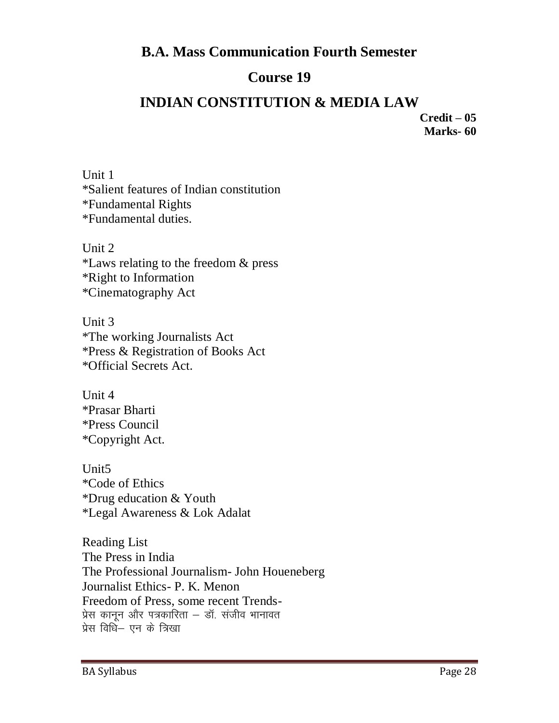# **Course 19**

# **INDIAN CONSTITUTION & MEDIA LAW**

**Credit – 05 Marks- 60**

Unit 1 \*Salient features of Indian constitution \*Fundamental Rights \*Fundamental duties.

Unit 2 \*Laws relating to the freedom & press \*Right to Information \*Cinematography Act

Unit 3 \*The working Journalists Act \*Press & Registration of Books Act \*Official Secrets Act.

Unit 4 \*Prasar Bharti \*Press Council \*Copyright Act.

Unit5 \*Code of Ethics \*Drug education & Youth \*Legal Awareness & Lok Adalat

Reading List The Press in India The Professional Journalism- John Houeneberg Journalist Ethics- P. K. Menon Freedom of Press, some recent Trends-प्रेस कानून और पत्रकारिता – डॉ. संजीव भानावत प्रेस विधि– एन के त्रिखा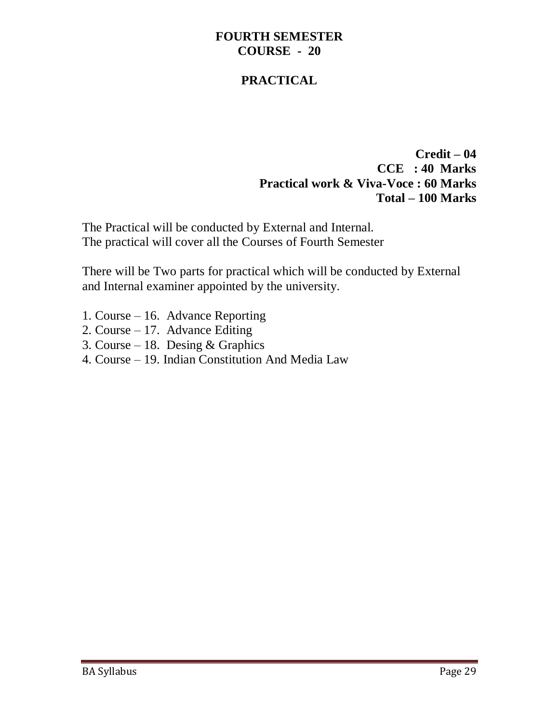#### **FOURTH SEMESTER COURSE - 20**

### **PRACTICAL**

**Credit – 04 CCE : 40 Marks Practical work & Viva-Voce : 60 Marks Total – 100 Marks**

The Practical will be conducted by External and Internal. The practical will cover all the Courses of Fourth Semester

There will be Two parts for practical which will be conducted by External and Internal examiner appointed by the university.

- 1. Course 16. Advance Reporting
- 2. Course 17. Advance Editing
- 3. Course 18. Desing & Graphics
- 4. Course 19. Indian Constitution And Media Law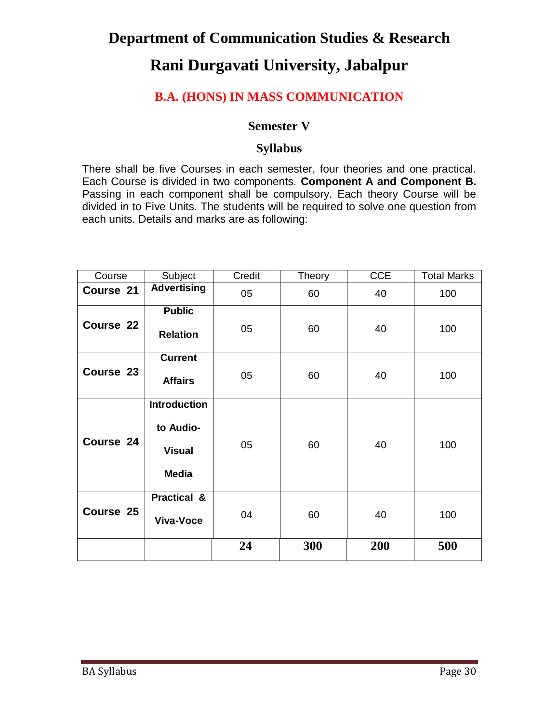# **Department of Communication Studies & Research Rani Durgavati University, Jabalpur**

### **B.A. (HONS) IN MASS COMMUNICATION**

#### **Semester V**

#### **Syllabus**

There shall be five Courses in each semester, four theories and one practical. Each Course is divided in two components. **Component A and Component B.** Passing in each component shall be compulsory. Each theory Course will be divided in to Five Units. The students will be required to solve one question from each units. Details and marks are as following:

| Course    | Subject                                                           | Credit | Theory | <b>CCE</b> | <b>Total Marks</b> |
|-----------|-------------------------------------------------------------------|--------|--------|------------|--------------------|
| Course 21 | <b>Advertising</b>                                                | 05     | 60     | 40         | 100                |
| Course 22 | <b>Public</b><br><b>Relation</b>                                  | 05     | 60     | 40         | 100                |
| Course 23 | <b>Current</b><br><b>Affairs</b>                                  | 05     | 60     | 40         | 100                |
| Course 24 | <b>Introduction</b><br>to Audio-<br><b>Visual</b><br><b>Media</b> | 05     | 60     | 40         | 100                |
| Course 25 | <b>Practical &amp;</b><br><b>Viva-Voce</b>                        | 04     | 60     | 40         | 100                |
|           |                                                                   | 24     | 300    | 200        | 500                |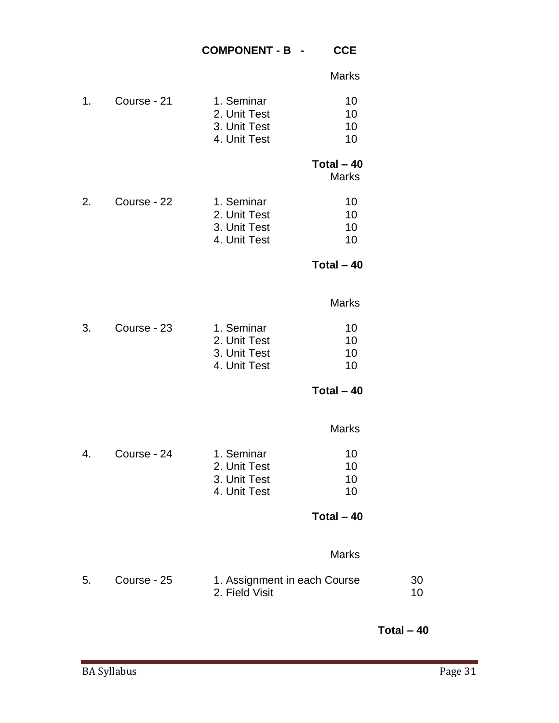#### **COMPONENT - B - CCE**

|  | Marks |
|--|-------|
|  |       |

| 1. | Course - 21 | 1. Seminar<br>2. Unit Test<br>3. Unit Test<br>4. Unit Test | 10<br>10<br>10<br>10        |          |
|----|-------------|------------------------------------------------------------|-----------------------------|----------|
|    |             |                                                            | Total $-40$<br><b>Marks</b> |          |
| 2. | Course - 22 | 1. Seminar<br>2. Unit Test<br>3. Unit Test<br>4. Unit Test | 10<br>10<br>10<br>10        |          |
|    |             |                                                            | Total $-40$                 |          |
|    |             |                                                            | <b>Marks</b>                |          |
| 3. | Course - 23 | 1. Seminar<br>2. Unit Test<br>3. Unit Test<br>4. Unit Test | 10<br>10<br>10<br>10        |          |
|    |             |                                                            | Total $-40$                 |          |
|    |             |                                                            | <b>Marks</b>                |          |
| 4. | Course - 24 | 1. Seminar<br>2. Unit Test<br>3. Unit Test<br>4. Unit Test | 10<br>10<br>10<br>10        |          |
|    |             |                                                            | Total $-40$                 |          |
|    |             |                                                            | <b>Marks</b>                |          |
| 5. | Course - 25 | 1. Assignment in each Course<br>2. Field Visit             |                             | 30<br>10 |

**Total – 40**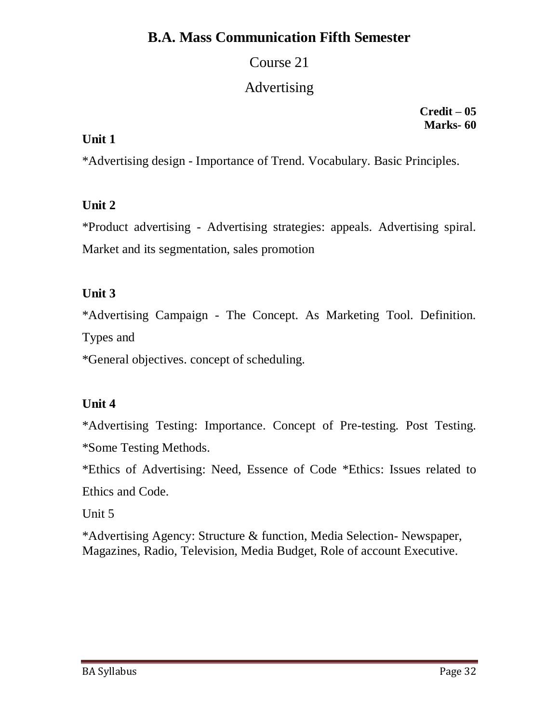# Course 21

# Advertising

**Credit – 05 Marks- 60**

### **Unit 1**

\*Advertising design - Importance of Trend. Vocabulary. Basic Principles.

# **Unit 2**

\*Product advertising - Advertising strategies: appeals. Advertising spiral. Market and its segmentation, sales promotion

# **Unit 3**

\*Advertising Campaign - The Concept. As Marketing Tool. Definition.

Types and

\*General objectives. concept of scheduling.

# **Unit 4**

\*Advertising Testing: Importance. Concept of Pre-testing. Post Testing. \*Some Testing Methods.

\*Ethics of Advertising: Need, Essence of Code \*Ethics: Issues related to Ethics and Code.

Unit 5

\*Advertising Agency: Structure & function, Media Selection- Newspaper, Magazines, Radio, Television, Media Budget, Role of account Executive.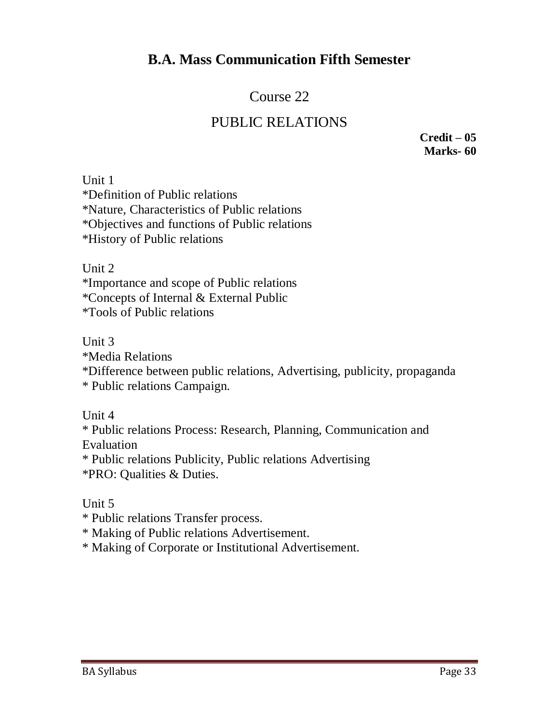# Course 22 PUBLIC RELATIONS

**Credit – 05 Marks- 60**

Unit 1 \*Definition of Public relations \*Nature, Characteristics of Public relations \*Objectives and functions of Public relations \*History of Public relations

Unit 2

\*Importance and scope of Public relations \*Concepts of Internal & External Public \*Tools of Public relations

Unit 3

\*Media Relations

\*Difference between public relations, Advertising, publicity, propaganda \* Public relations Campaign.

Unit 4

\* Public relations Process: Research, Planning, Communication and Evaluation

\* Public relations Publicity, Public relations Advertising \*PRO: Qualities & Duties.

Unit 5

\* Public relations Transfer process.

\* Making of Public relations Advertisement.

\* Making of Corporate or Institutional Advertisement.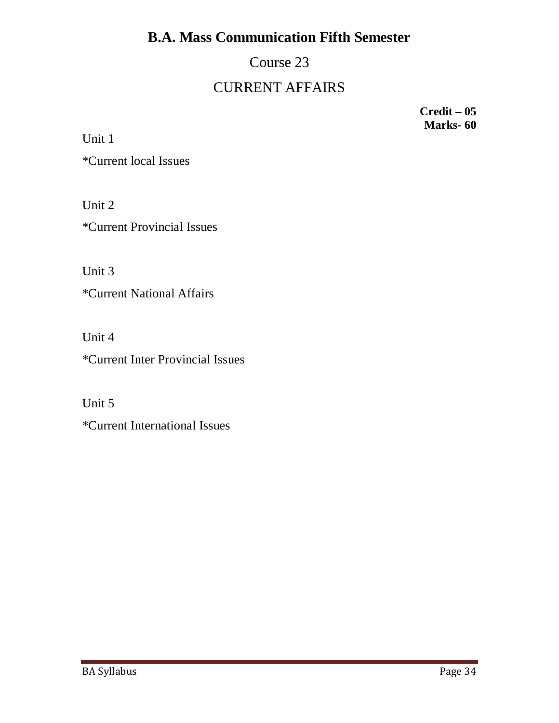Course 23

# CURRENT AFFAIRS

**Credit – 05 Marks- 60**

Unit 1 \*Current local Issues

Unit 2 \*Current Provincial Issues

Unit 3

\*Current National Affairs

Unit 4

\*Current Inter Provincial Issues

Unit 5

\*Current International Issues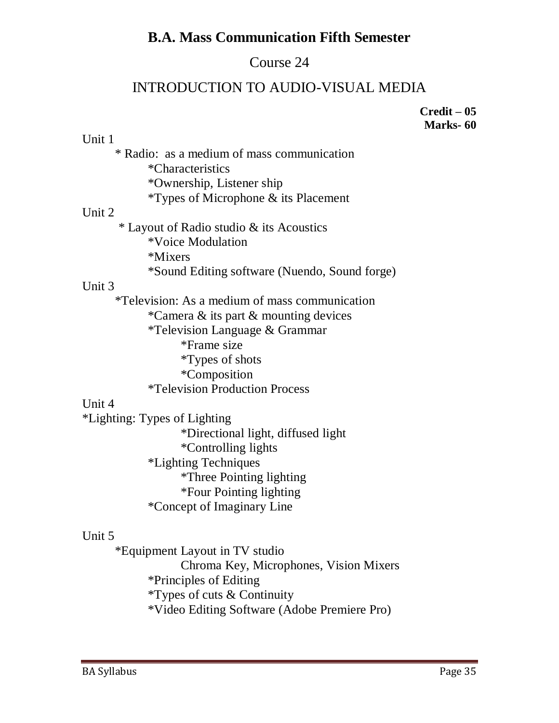# Course 24

# INTRODUCTION TO AUDIO-VISUAL MEDIA

**Credit – 05 Marks- 60**

| Unit 1                                          |
|-------------------------------------------------|
| * Radio: as a medium of mass communication      |
| *Characteristics                                |
| *Ownership, Listener ship                       |
| <i>*</i> Types of Microphone $\&$ its Placement |
| Unit 2                                          |
| * Layout of Radio studio & its Acoustics        |
| *Voice Modulation                               |
| *Mixers                                         |
| *Sound Editing software (Nuendo, Sound forge)   |
| Unit 3                                          |
| *Television: As a medium of mass communication  |
| *Camera & its part & mounting devices           |
| <i>*</i> Television Language & Grammar          |
| *Frame size                                     |
| <i>*Types of shots</i>                          |
| <i>*</i> Composition                            |
| <i><b>*Television Production Process</b></i>    |
| Unit 4                                          |
| *Lighting: Types of Lighting                    |
| *Directional light, diffused light              |
| <i>*</i> Controlling lights                     |
| *Lighting Techniques                            |
| <i>*Three Pointing lighting</i>                 |
| *Four Pointing lighting                         |
| *Concept of Imaginary Line                      |
| Unit 5                                          |

\*Equipment Layout in TV studio Chroma Key, Microphones, Vision Mixers \*Principles of Editing \*Types of cuts & Continuity \*Video Editing Software (Adobe Premiere Pro)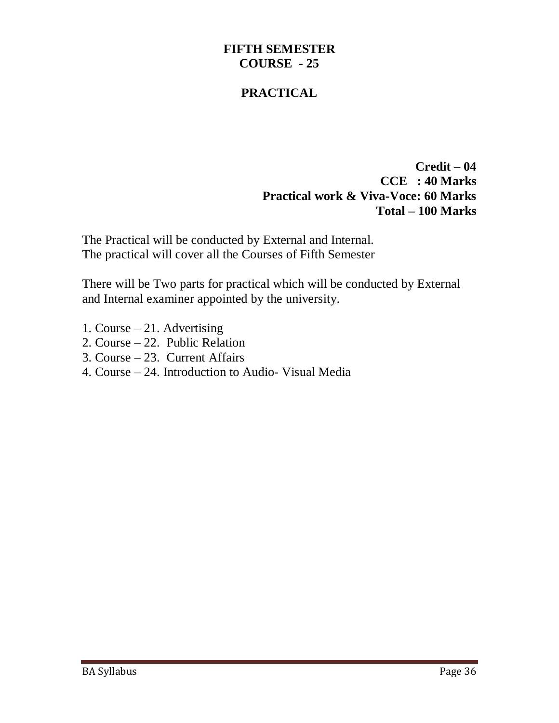#### **FIFTH SEMESTER COURSE - 25**

#### **PRACTICAL**

**Credit – 04 CCE : 40 Marks Practical work & Viva-Voce: 60 Marks Total – 100 Marks**

The Practical will be conducted by External and Internal. The practical will cover all the Courses of Fifth Semester

There will be Two parts for practical which will be conducted by External and Internal examiner appointed by the university.

- 1. Course 21. Advertising
- 2. Course 22. Public Relation
- 3. Course 23. Current Affairs
- 4. Course 24. Introduction to Audio- Visual Media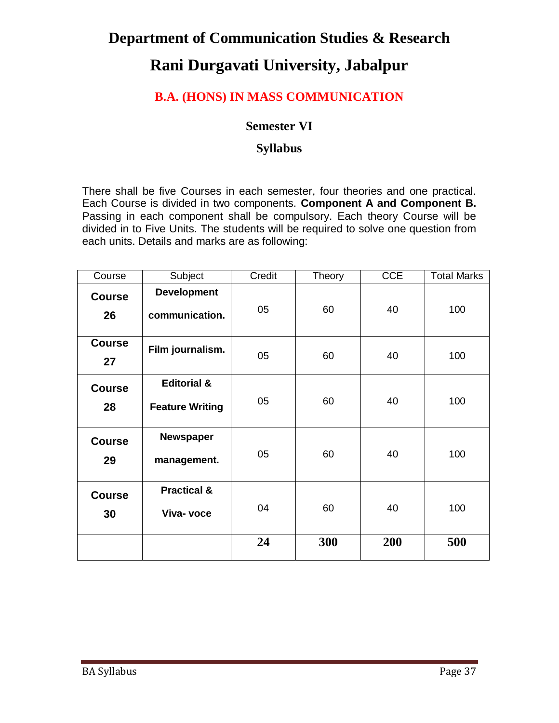# **Department of Communication Studies & Research Rani Durgavati University, Jabalpur**

### **B.A. (HONS) IN MASS COMMUNICATION**

#### **Semester VI**

#### **Syllabus**

There shall be five Courses in each semester, four theories and one practical. Each Course is divided in two components. **Component A and Component B.** Passing in each component shall be compulsory. Each theory Course will be divided in to Five Units. The students will be required to solve one question from each units. Details and marks are as following:

| Course              | Subject                                          | Credit | Theory | <b>CCE</b> | <b>Total Marks</b> |
|---------------------|--------------------------------------------------|--------|--------|------------|--------------------|
| <b>Course</b><br>26 | <b>Development</b><br>communication.             | 05     | 60     | 40         | 100                |
| <b>Course</b><br>27 | Film journalism.                                 | 05     | 60     | 40         | 100                |
| <b>Course</b><br>28 | <b>Editorial &amp;</b><br><b>Feature Writing</b> | 05     | 60     | 40         | 100                |
| <b>Course</b><br>29 | <b>Newspaper</b><br>management.                  | 05     | 60     | 40         | 100                |
| <b>Course</b><br>30 | <b>Practical &amp;</b><br>Viva- voce             | 04     | 60     | 40         | 100                |
|                     |                                                  | 24     | 300    | 200        | 500                |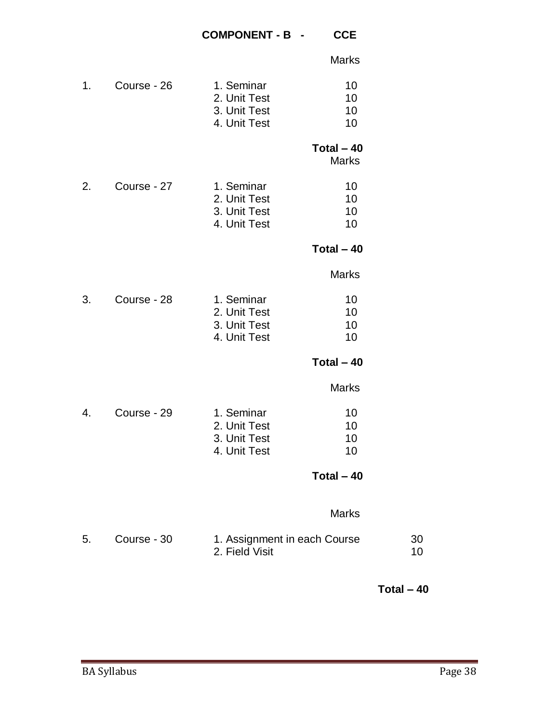|    |             |                                                            | <b>Marks</b>                |          |
|----|-------------|------------------------------------------------------------|-----------------------------|----------|
| 1. | Course - 26 | 1. Seminar<br>2. Unit Test<br>3. Unit Test<br>4. Unit Test | 10<br>10<br>10<br>10        |          |
|    |             |                                                            | Total $-40$<br><b>Marks</b> |          |
| 2. | Course - 27 | 1. Seminar<br>2. Unit Test<br>3. Unit Test<br>4. Unit Test | 10<br>10<br>10<br>10        |          |
|    |             |                                                            | Total $-40$                 |          |
|    |             |                                                            | <b>Marks</b>                |          |
| 3. | Course - 28 | 1. Seminar<br>2. Unit Test<br>3. Unit Test<br>4. Unit Test | 10<br>10<br>10<br>10        |          |
|    |             |                                                            | Total $-40$                 |          |
|    |             |                                                            | <b>Marks</b>                |          |
| 4. | Course - 29 | 1. Seminar<br>2. Unit Test<br>3. Unit Test<br>4. Unit Test | 10<br>10<br>10<br>10        |          |
|    |             |                                                            | Total $-40$                 |          |
|    |             |                                                            | <b>Marks</b>                |          |
| 5. | Course - 30 | 1. Assignment in each Course<br>2. Field Visit             |                             | 30<br>10 |

**Total – 40**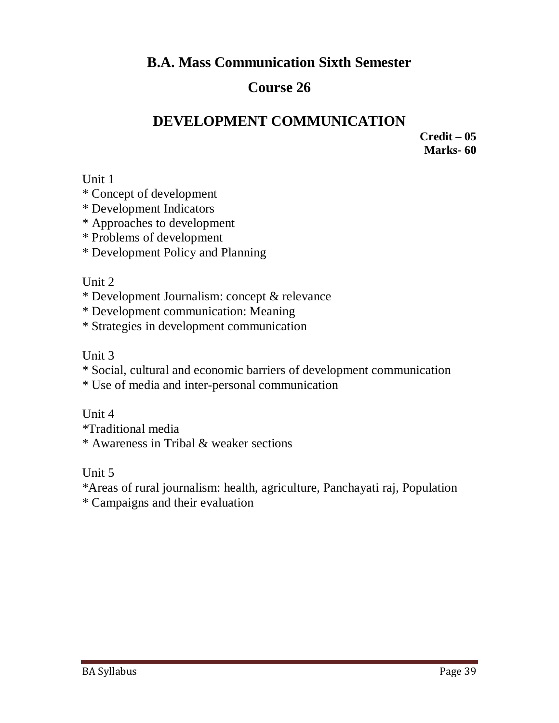# **Course 26**

# **DEVELOPMENT COMMUNICATION**

**Credit – 05 Marks- 60**

Unit 1

\* Concept of development

\* Development Indicators

\* Approaches to development

\* Problems of development

\* Development Policy and Planning

### Unit 2

\* Development Journalism: concept & relevance

\* Development communication: Meaning

\* Strategies in development communication

Unit 3

\* Social, cultural and economic barriers of development communication

\* Use of media and inter-personal communication

Unit 4

\*Traditional media \* Awareness in Tribal & weaker sections

Unit 5

\*Areas of rural journalism: health, agriculture, Panchayati raj, Population \* Campaigns and their evaluation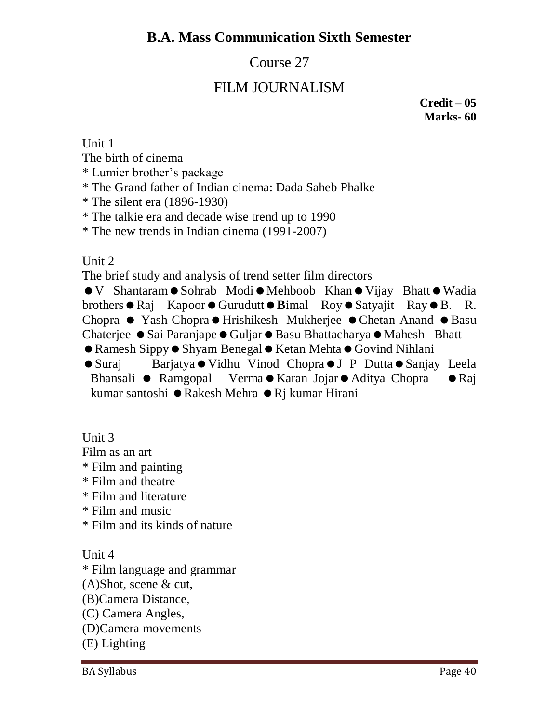# Course 27

# FILM JOURNALISM

**Credit – 05 Marks- 60**

Unit 1

The birth of cinema

\* Lumier brother's package

\* The Grand father of Indian cinema: Dada Saheb Phalke

\* The silent era (1896-1930)

\* The talkie era and decade wise trend up to 1990

\* The new trends in Indian cinema (1991-2007)

Unit 2

The brief study and analysis of trend setter film directors

 $\bullet$  V Shantaram  $\bullet$  Sohrab Modi $\bullet$  Mehboob Khan  $\bullet$  Vijay Bhatt  $\bullet$  Wadia brothers  $\bullet$  Raj Kapoor  $\bullet$  Gurudutt  $\bullet$  Bimal Roy  $\bullet$  Satyajit Ray  $\bullet$  B. R. Chopra • Yash Chopra • Hrishikesh Mukherjee • Chetan Anand • Basu Chaterjee ● Sai Paranjape ● Guljar ● Basu Bhattacharya ● Mahesh Bhatt  $\bullet$  Ramesh Sippy $\bullet$  Shyam Benegal  $\bullet$  Ketan Mehta $\bullet$  Govind Nihlani  $\bullet$  Suraj Barjatya  $\bullet$  Vidhu Vinod Chopra $\bullet$  J P Dutta $\bullet$  Sanjay Leela Bhansali ● Ramgopal Verma ● Karan Jojar ● Aditya Chopra ● Raj kumar santoshi  $\bullet$  Rakesh Mehra  $\bullet$  Rj kumar Hirani

Unit 3

Film as an art

\* Film and painting

\* Film and theatre

\* Film and literature

\* Film and music

\* Film and its kinds of nature

Unit 4

\* Film language and grammar

(A)Shot, scene & cut,

(B)Camera Distance,

(C) Camera Angles,

(D)Camera movements

(E) Lighting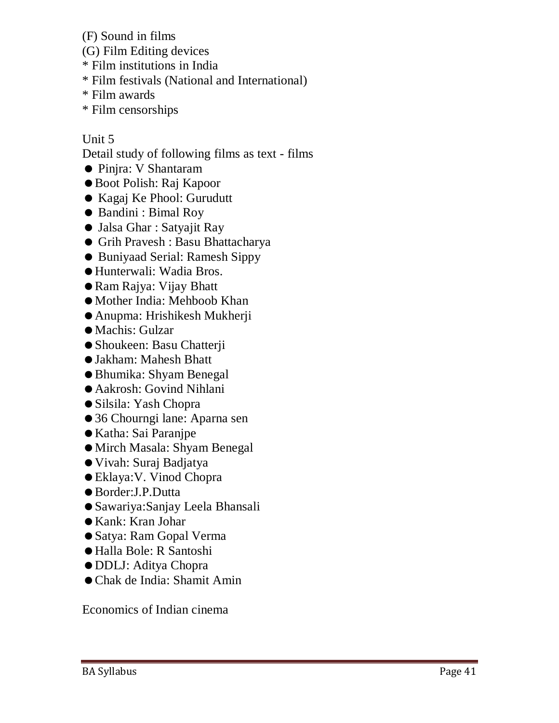- (F) Sound in films
- (G) Film Editing devices
- \* Film institutions in India
- \* Film festivals (National and International)
- \* Film awards
- \* Film censorships

### Unit 5

Detail study of following films as text - films

- Pinjra: V Shantaram
- Boot Polish: Raj Kapoor
- Kagaj Ke Phool: Gurudutt
- Bandini : Bimal Roy
- Jalsa Ghar : Satyajit Ray
- Grih Pravesh : Basu Bhattacharya
- Buniyaad Serial: Ramesh Sippy
- Hunterwali: Wadia Bros.
- Ram Rajya: Vijay Bhatt
- Mother India: Mehboob Khan
- Anupma: Hrishikesh Mukherji
- Machis: Gulzar
- Shoukeen: Basu Chatterji
- Jakham: Mahesh Bhatt
- Bhumika: Shyam Benegal
- Aakrosh: Govind Nihlani
- Silsila: Yash Chopra
- 36 Chourngi lane: Aparna sen
- Katha: Sai Paranjpe
- Mirch Masala: Shyam Benegal
- Vivah: Suraj Badjatya
- Eklaya:V. Vinod Chopra
- Border:J.P.Dutta
- Sawariya:Sanjay Leela Bhansali
- Kank: Kran Johar
- Satya: Ram Gopal Verma
- Halla Bole: R Santoshi
- DDLJ: Aditya Chopra
- Chak de India: Shamit Amin

Economics of Indian cinema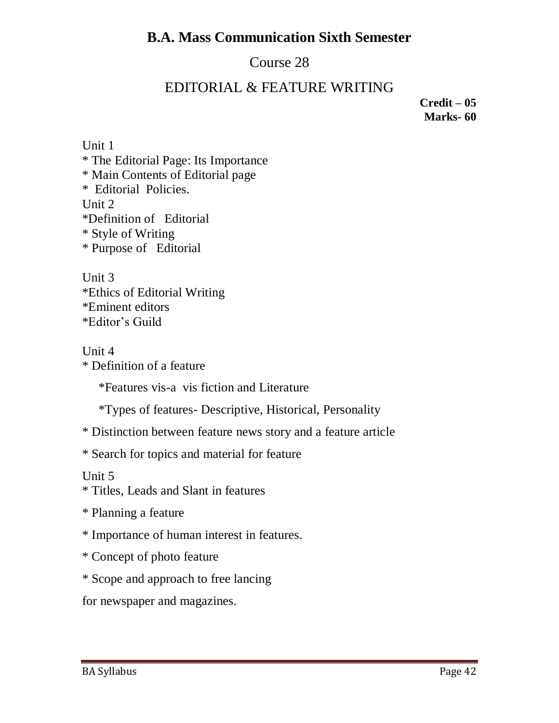# Course 28

## EDITORIAL & FEATURE WRITING

**Credit – 05 Marks- 60**

Unit 1 \* The Editorial Page: Its Importance \* Main Contents of Editorial page \* Editorial Policies. Unit 2 \*Definition of Editorial \* Style of Writing \* Purpose of Editorial

Unit 3 \*Ethics of Editorial Writing \*Eminent editors \*Editor's Guild

Unit 4

\* Definition of a feature

\*Features vis-a vis fiction and Literature

\*Types of features- Descriptive, Historical, Personality

\* Distinction between feature news story and a feature article

\* Search for topics and material for feature

Unit 5

\* Titles, Leads and Slant in features

\* Planning a feature

\* Importance of human interest in features.

\* Concept of photo feature

\* Scope and approach to free lancing

for newspaper and magazines.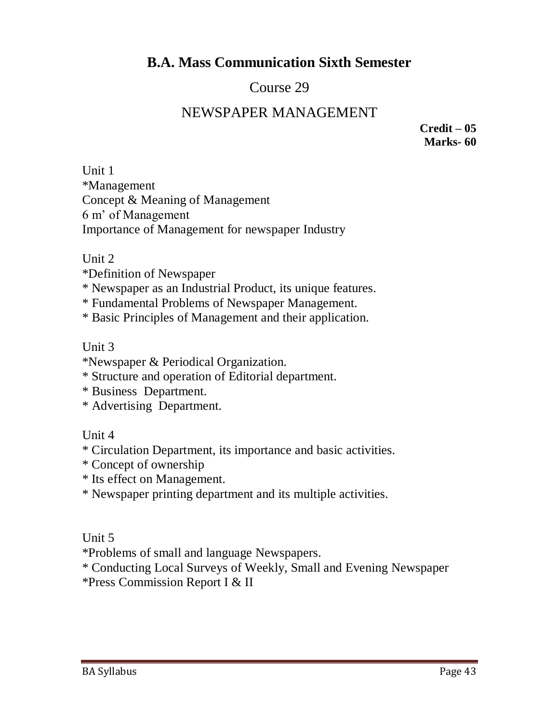# Course 29

### NEWSPAPER MANAGEMENT

**Credit – 05 Marks- 60**

Unit 1 \*Management Concept & Meaning of Management 6 m' of Management Importance of Management for newspaper Industry

#### Unit 2

- \*Definition of Newspaper
- \* Newspaper as an Industrial Product, its unique features.
- \* Fundamental Problems of Newspaper Management.
- \* Basic Principles of Management and their application.

#### Unit 3

- \*Newspaper & Periodical Organization.
- \* Structure and operation of Editorial department.
- \* Business Department.
- \* Advertising Department.

### Unit 4

- \* Circulation Department, its importance and basic activities.
- \* Concept of ownership
- \* Its effect on Management.
- \* Newspaper printing department and its multiple activities.

### Unit 5

\*Problems of small and language Newspapers.

\* Conducting Local Surveys of Weekly, Small and Evening Newspaper \*Press Commission Report I & II